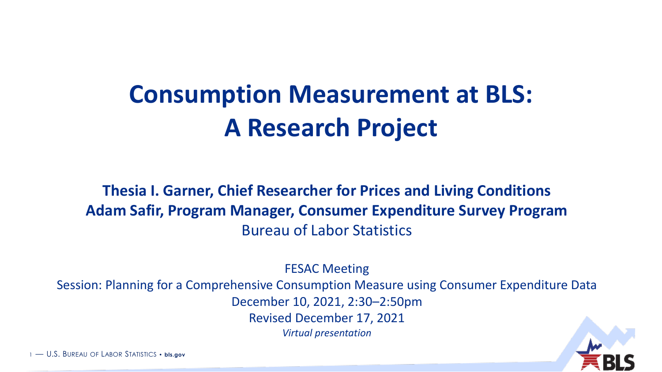# **Consumption Measurement at BLS: A Research Project**

**Thesia I. Garner, Chief Researcher for Prices and Living Conditions Adam Safir, Program Manager, Consumer Expenditure Survey Program** Bureau of Labor Statistics

FESAC Meeting

Session: Planning for a Comprehensive Consumption Measure using Consumer Expenditure Data

December 10, 2021, 2:30–2:50pm

Revised December 17, 2021

*Virtual presentation*



1 — U.S. BUREAU OF LABOR STATISTICS • **bls.gov**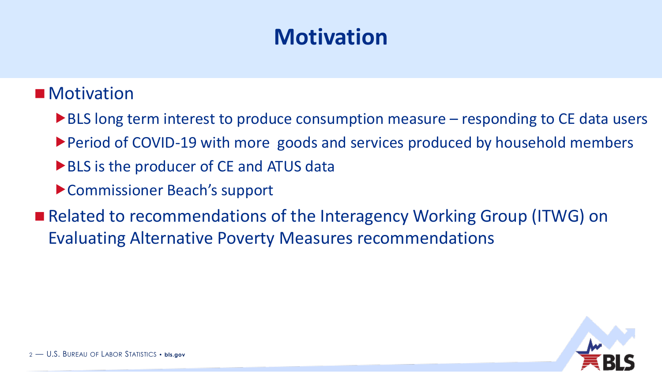## **Motivation**

### ■ Motivation

- ▶ BLS long term interest to produce consumption measure responding to CE data users
- Period of COVID-19 with more goods and services produced by household members
- ▶ BLS is the producer of CE and ATUS data
- ▶ Commissioner Beach's support
- Related to recommendations of the Interagency Working Group (ITWG) on Evaluating Alternative Poverty Measures recommendations

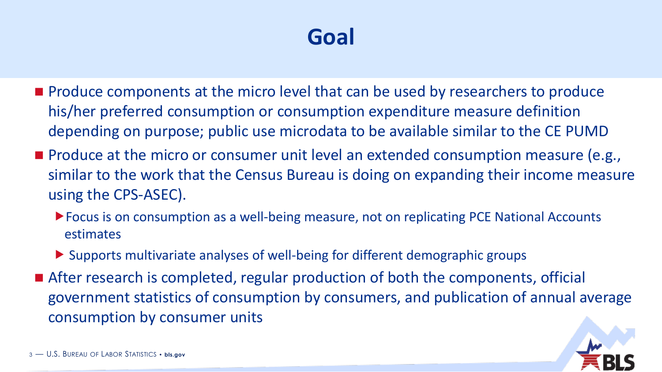## **Goal**

- Produce components at the micro level that can be used by researchers to produce his/her preferred consumption or consumption expenditure measure definition depending on purpose; public use microdata to be available similar to the CE PUMD
- Produce at the micro or consumer unit level an extended consumption measure (e.g., similar to the work that the Census Bureau is doing on expanding their income measure using the CPS-ASEC).
	- ▶ Focus is on consumption as a well-being measure, not on replicating PCE National Accounts estimates
	- Supports multivariate analyses of well-being for different demographic groups
- After research is completed, regular production of both the components, official government statistics of consumption by consumers, and publication of annual average consumption by consumer units

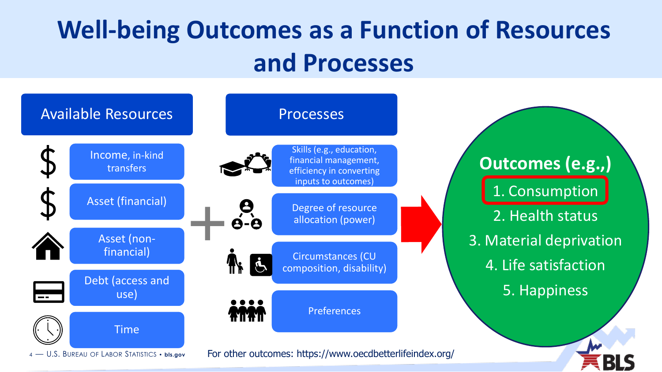# **Well-being Outcomes as a Function of Resources and Processes**

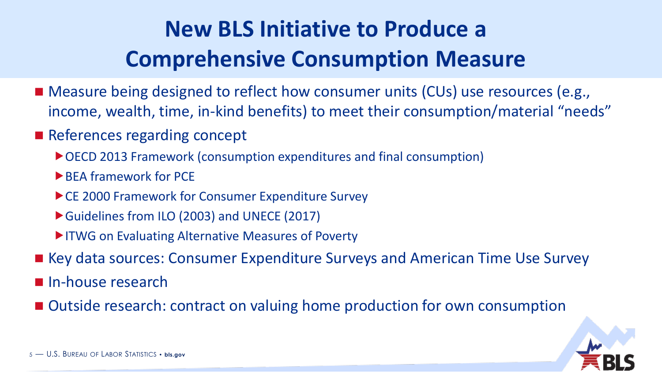## **New BLS Initiative to Produce a Comprehensive Consumption Measure**

- Measure being designed to reflect how consumer units (CUs) use resources (e.g., income, wealth, time, in-kind benefits) to meet their consumption/material "needs"
- References regarding concept
	- ▶ OECD 2013 Framework (consumption expenditures and final consumption)
	- ▶ BEA framework for PCE
	- ▶ CE 2000 Framework for Consumer Expenditure Survey
	- Guidelines from ILO (2003) and UNECE (2017)
	- ITWG on Evaluating Alternative Measures of Poverty
- Key data sources: Consumer Expenditure Surveys and American Time Use Survey
- In-house research
- Outside research: contract on valuing home production for own consumption

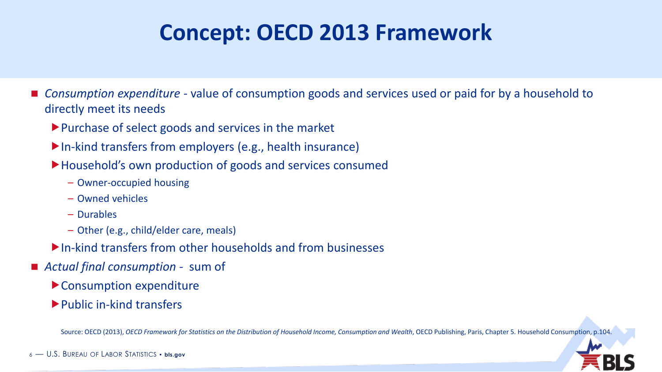## **Concept: OECD 2013 Framework**

- *Consumption expenditure* value of consumption goods and services used or paid for by a household to directly meet its needs
	- Purchase of select goods and services in the market
	- In-kind transfers from employers (e.g., health insurance)
	- ▶Household's own production of goods and services consumed
		- Owner-occupied housing
		- Owned vehicles
		- Durables
		- Other (e.g., child/elder care, meals)
	- In-kind transfers from other households and from businesses
- *Actual final consumption* sum of
	- Consumption expenditure
	- Public in-kind transfers

Source: OECD (2013), *OECD Framework for Statistics on the Distribution of Household Income, Consumption and Wealth*, OECD Publishing, Paris, Chapter 5. Household Consumption, p.104.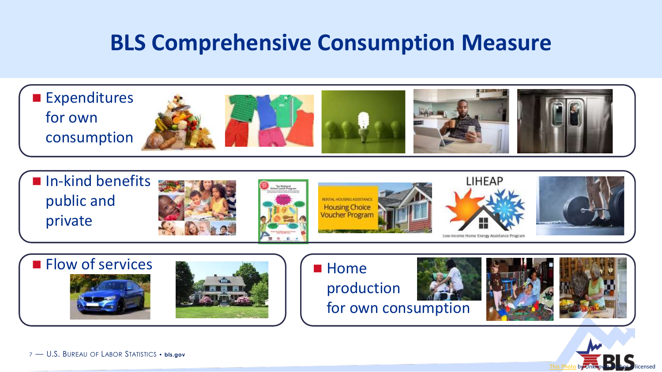### **BLS Comprehensive Consumption Measure**

■ Expenditures for own consumption















production









7 — U.S. BUREAU OF LABOR STATISTICS • **bls.gov**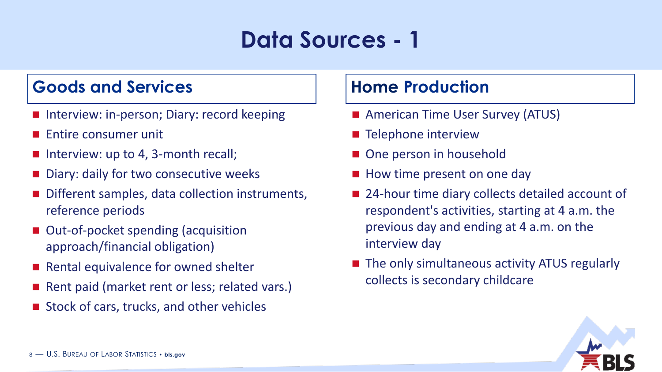## **Data Sources - 1**

### **Goods and Services Home Production**

- Interview: in-person; Diary: record keeping
- Entire consumer unit
- $\blacksquare$  Interview: up to 4, 3-month recall;
- Diary: daily for two consecutive weeks
- Different samples, data collection instruments, reference periods
- Out-of-pocket spending (acquisition approach/financial obligation)
- Rental equivalence for owned shelter
- Rent paid (market rent or less; related vars.)
- Stock of cars, trucks, and other vehicles

- American Time User Survey (ATUS)
- Telephone interview
- One person in household
- How time present on one day
- 24-hour time diary collects detailed account of respondent's activities, starting at 4 a.m. the previous day and ending at 4 a.m. on the interview day
- The only simultaneous activity ATUS regularly collects is secondary childcare

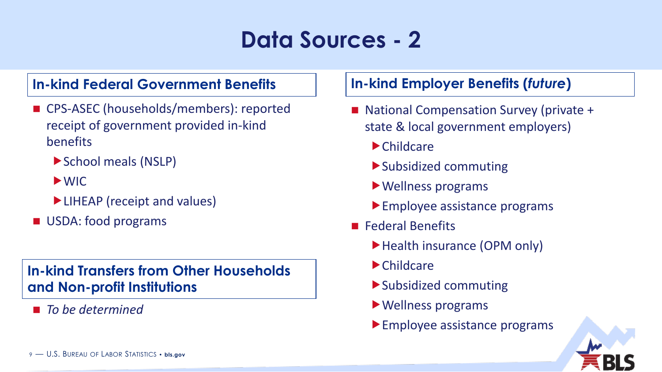## **Data Sources - 2**

### **In-kind Federal Government Benefits In-kind Employer Benefits (***future***)**

- CPS-ASEC (households/members): reported receipt of government provided in-kind benefits
	- ▶ School meals (NSLP)
	- WIC
	- ▶ LIHEAP (receipt and values)
- USDA: food programs

### **In-kind Transfers from Other Households and Non-profit Institutions**

◼ *To be determined*

- National Compensation Survey (private + state & local government employers)
	- Childcare
	- Subsidized commuting
	- Wellness programs
	- **Employee assistance programs**
- Federal Benefits
	- ▶ Health insurance (OPM only)
	- Childcare
	- Subsidized commuting
	- Wellness programs
	- Employee assistance programs

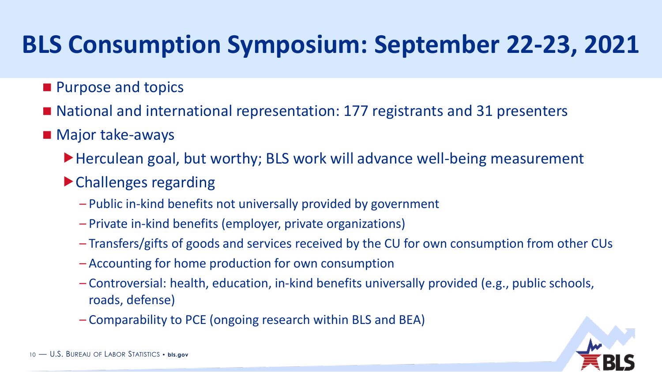# **BLS Consumption Symposium: September 22-23, 2021**

- Purpose and topics
- National and international representation: 177 registrants and 31 presenters
- Major take-aways
	- ▶ Herculean goal, but worthy; BLS work will advance well-being measurement
	- Challenges regarding
		- Public in-kind benefits not universally provided by government
		- Private in-kind benefits (employer, private organizations)
		- Transfers/gifts of goods and services received by the CU for own consumption from other CUs
		- Accounting for home production for own consumption
		- Controversial: health, education, in-kind benefits universally provided (e.g., public schools, roads, defense)
		- Comparability to PCE (ongoing research within BLS and BEA)

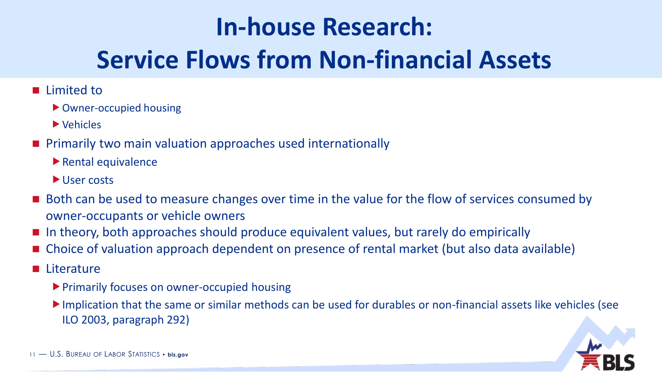# **In-house Research: Service Flows from Non-financial Assets**

- Limited to
	- Owner-occupied housing
	- Vehicles
- Primarily two main valuation approaches used internationally
	- $\blacktriangleright$  Rental equivalence
	- User costs
- Both can be used to measure changes over time in the value for the flow of services consumed by owner-occupants or vehicle owners
- In theory, both approaches should produce equivalent values, but rarely do empirically
- Choice of valuation approach dependent on presence of rental market (but also data available)
- Literature
	- ▶ Primarily focuses on owner-occupied housing
	- Implication that the same or similar methods can be used for durables or non-financial assets like vehicles (see ILO 2003, paragraph 292)

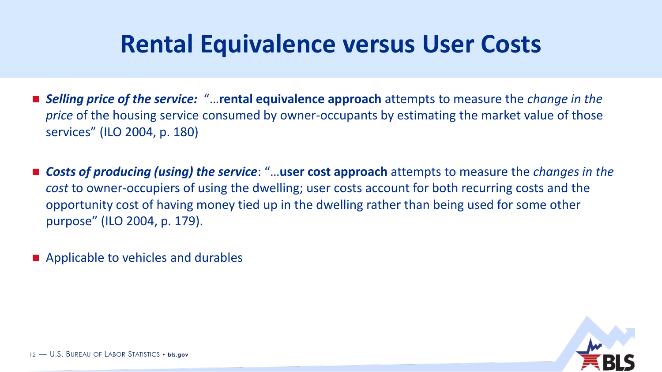## **Rental Equivalence versus User Costs**

- Selling price of the service: "...**rental equivalence approach** attempts to measure the *change in the price* of the housing service consumed by owner-occupants by estimating the market value of those services" (ILO 2004, p. 180)
- Costs of producing (using) the service: "...user cost approach attempts to measure the *changes in the cost* to owner-occupiers of using the dwelling; user costs account for both recurring costs and the opportunity cost of having money tied up in the dwelling rather than being used for some other purpose" (ILO 2004, p. 179).
- Applicable to vehicles and durables

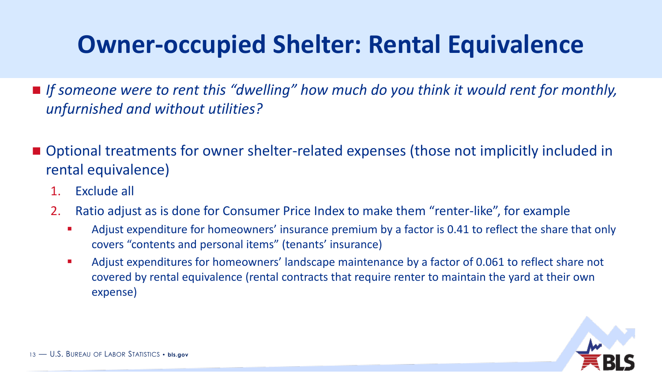## **Owner-occupied Shelter: Rental Equivalence**

- If someone were to rent this "dwelling" how much do you think it would rent for monthly, *unfurnished and without utilities?*
- Optional treatments for owner shelter-related expenses (those not implicitly included in rental equivalence)
	- 1. Exclude all
	- 2. Ratio adjust as is done for Consumer Price Index to make them "renter-like", for example
		- Adjust expenditure for homeowners' insurance premium by a factor is 0.41 to reflect the share that only covers "contents and personal items" (tenants' insurance)
		- Adjust expenditures for homeowners' landscape maintenance by a factor of 0.061 to reflect share not covered by rental equivalence (rental contracts that require renter to maintain the yard at their own expense)

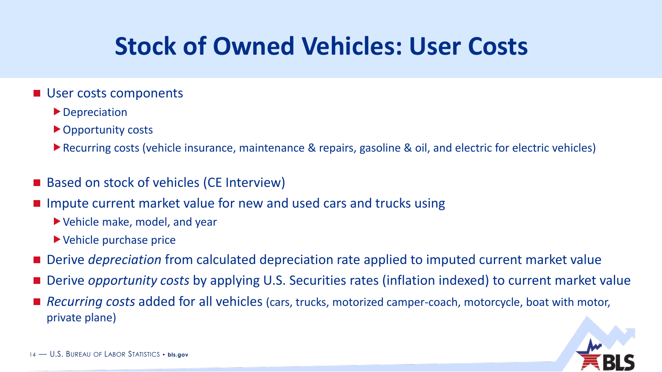# **Stock of Owned Vehicles: User Costs**

- User costs components
	- ▶ Depreciation
	- ▶ Opportunity costs
	- ▶ Recurring costs (vehicle insurance, maintenance & repairs, gasoline & oil, and electric for electric vehicles)
- Based on stock of vehicles (CE Interview)
- Impute current market value for new and used cars and trucks using
	- Vehicle make, model, and year
	- Vehicle purchase price
- Derive *depreciation* from calculated depreciation rate applied to imputed current market value
- Derive *opportunity costs* by applying U.S. Securities rates (inflation indexed) to current market value
- *Recurring costs* added for all vehicles (cars, trucks, motorized camper-coach, motorcycle, boat with motor, private plane)

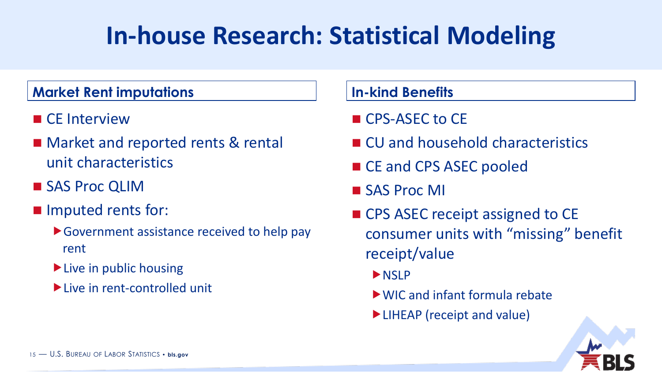# **In-house Research: Statistical Modeling**

### **Market Rent imputations In-kind Benefits**

- CE Interview
- Market and reported rents & rental unit characteristics
- SAS Proc QLIM
- Imputed rents for:
	- Government assistance received to help pay rent
	- $\blacktriangleright$  Live in public housing
	- Live in rent-controlled unit

- CPS-ASEC to CE
- CU and household characteristics
- CE and CPS ASEC pooled
- SAS Proc MI
- CPS ASEC receipt assigned to CE consumer units with "missing" benefit receipt/value
	- **NSIP**
	- WIC and infant formula rebate
	- ▶ LIHEAP (receipt and value)

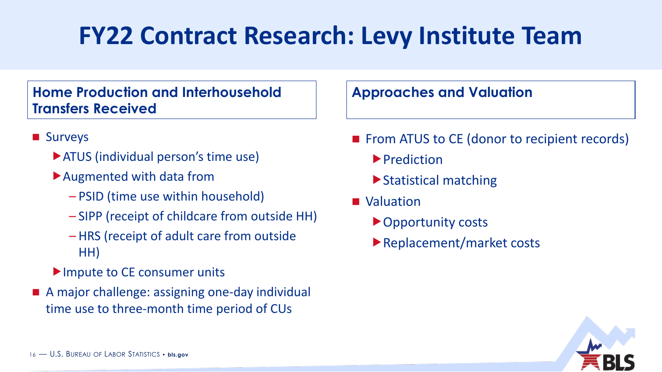# **FY22 Contract Research: Levy Institute Team**

### **Home Production and Interhousehold Transfers Received**

- Surveys
	- ▶ ATUS (individual person's time use)
	- Augmented with data from
		- PSID (time use within household)
		- SIPP (receipt of childcare from outside HH)
		- HRS (receipt of adult care from outside HH)
	- Impute to CE consumer units
- A major challenge: assigning one-day individual time use to three-month time period of CUs

### **Approaches and Valuation**

- From ATUS to CE (donor to recipient records)
	- **Prediction**
	- ▶ Statistical matching
- Valuation
	- ▶ Opportunity costs
	- Replacement/market costs

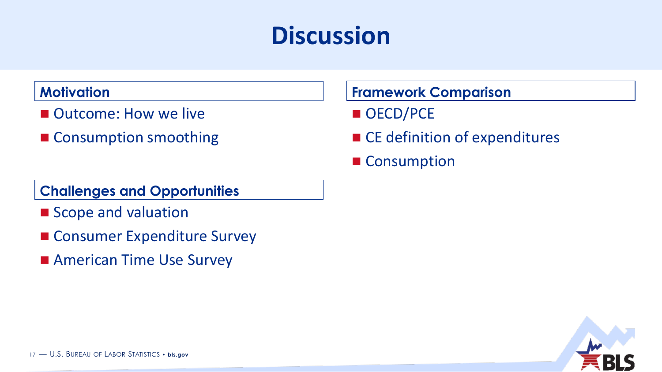## **Discussion**

### **Motivation**

- Outcome: How we live
- Consumption smoothing

### **Challenges and Opportunities**

- Scope and valuation
- Consumer Expenditure Survey
- American Time Use Survey

### **Framework Comparison**

- OECD/PCE
- CE definition of expenditures
- Consumption

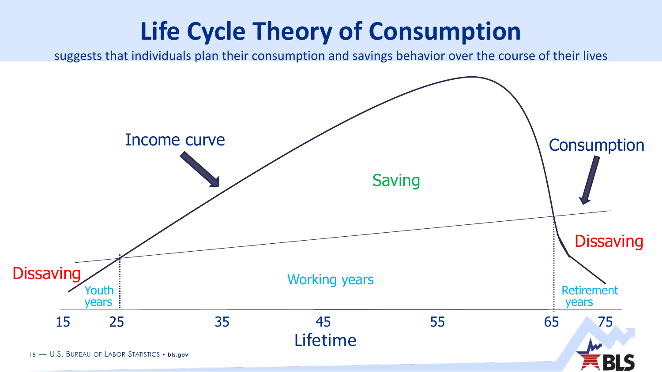# **Life Cycle Theory of Consumption**

suggests that individuals plan their consumption and savings behavior over the course of their lives

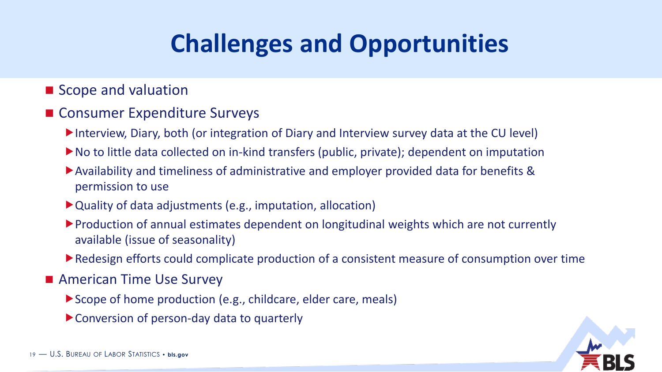# **Challenges and Opportunities**

### ■ Scope and valuation

### ■ Consumer Expenditure Surveys

- Interview, Diary, both (or integration of Diary and Interview survey data at the CU level)
- ▶ No to little data collected on in-kind transfers (public, private); dependent on imputation
- Availability and timeliness of administrative and employer provided data for benefits & permission to use
- Quality of data adjustments (e.g., imputation, allocation)
- Production of annual estimates dependent on longitudinal weights which are not currently available (issue of seasonality)
- Redesign efforts could complicate production of a consistent measure of consumption over time
- American Time Use Survey
	- ▶ Scope of home production (e.g., childcare, elder care, meals)
	- Conversion of person-day data to quarterly

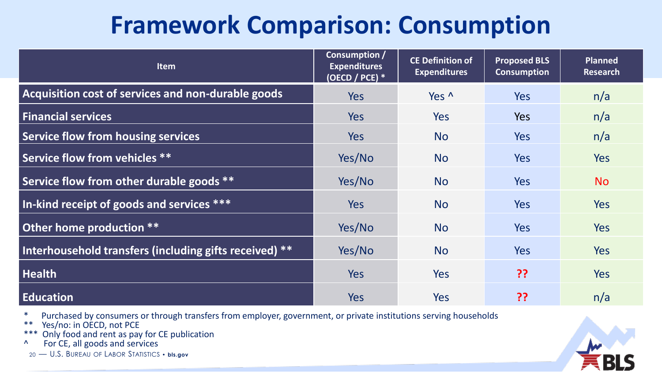## **Framework Comparison: Consumption**

| <b>Item</b>                                            | Consumption /<br><b>Expenditures</b><br>(OECD / PCE) $*$ | <b>CE Definition of</b><br><b>Expenditures</b> | <b>Proposed BLS</b><br><b>Consumption</b> | <b>Planned</b><br>Research |
|--------------------------------------------------------|----------------------------------------------------------|------------------------------------------------|-------------------------------------------|----------------------------|
| Acquisition cost of services and non-durable goods     | <b>Yes</b>                                               | Yes ^                                          | <b>Yes</b>                                | n/a                        |
| <b>Financial services</b>                              | <b>Yes</b>                                               | <b>Yes</b>                                     | <b>Yes</b>                                | n/a                        |
| Service flow from housing services                     | Yes                                                      | <b>No</b>                                      | <b>Yes</b>                                | n/a                        |
| Service flow from vehicles **                          | Yes/No                                                   | <b>No</b>                                      | Yes                                       | Yes                        |
| Service flow from other durable goods **               | Yes/No                                                   | <b>No</b>                                      | <b>Yes</b>                                | <b>No</b>                  |
| In-kind receipt of goods and services ***              | Yes                                                      | <b>No</b>                                      | <b>Yes</b>                                | <b>Yes</b>                 |
| Other home production **                               | Yes/No                                                   | <b>No</b>                                      | <b>Yes</b>                                | Yes                        |
| Interhousehold transfers (including gifts received) ** | Yes/No                                                   | <b>No</b>                                      | <b>Yes</b>                                | <b>Yes</b>                 |
| <b>Health</b>                                          | <b>Yes</b>                                               | Yes                                            | ??                                        | <b>Yes</b>                 |
| <b>Education</b>                                       | Yes                                                      | Yes                                            | ??                                        | n/a                        |

- \* Purchased by consumers or through transfers from employer, government, or private institutions serving households
- \*\*  $Yes/no: in OÉCD, not PCE$ <br>\*\*\* Only food and rent as nay
- \*\*\* Only food and rent as pay for CE publication
- ^ For CE, all goods and services
- 20 U.S. BUREAU OF LABOR STATISTICS **bls.gov**

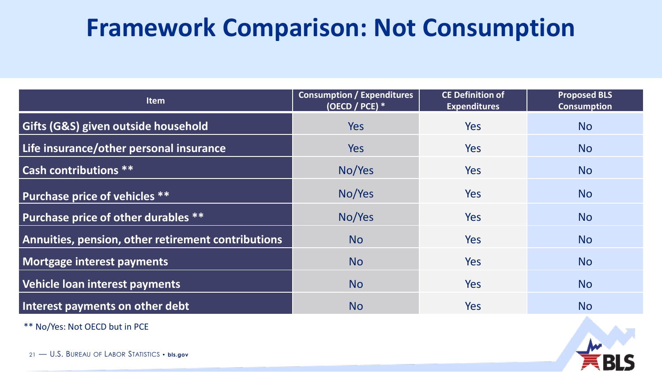## **Framework Comparison: Not Consumption**

| <b>Item</b>                                        | <b>Consumption / Expenditures</b><br>(OECD / PCE) $*$ | <b>CE Definition of</b><br><b>Expenditures</b> | <b>Proposed BLS</b><br><b>Consumption</b> |
|----------------------------------------------------|-------------------------------------------------------|------------------------------------------------|-------------------------------------------|
| <b>Gifts (G&amp;S) given outside household</b>     | Yes                                                   | Yes                                            | <b>No</b>                                 |
| Life insurance/other personal insurance            | <b>Yes</b>                                            | <b>Yes</b>                                     | <b>No</b>                                 |
| <b>Cash contributions **</b>                       | No/Yes                                                | Yes                                            | <b>No</b>                                 |
| Purchase price of vehicles **                      | No/Yes                                                | Yes                                            | <b>No</b>                                 |
| Purchase price of other durables **                | No/Yes                                                | Yes                                            | <b>No</b>                                 |
| Annuities, pension, other retirement contributions | <b>No</b>                                             | <b>Yes</b>                                     | <b>No</b>                                 |
| Mortgage interest payments                         | <b>No</b>                                             | <b>Yes</b>                                     | <b>No</b>                                 |
| Vehicle loan interest payments                     | <b>No</b>                                             | Yes                                            | <b>No</b>                                 |
| Interest payments on other debt                    | <b>No</b>                                             | Yes                                            | <b>No</b>                                 |

\*\* No/Yes: Not OECD but in PCE

21 — U.S. BUREAU OF LABOR STATISTICS • **bls.gov**

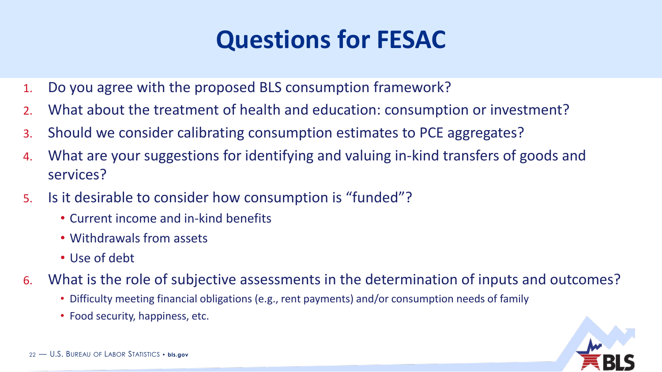## **Questions for FESAC**

- 1. Do you agree with the proposed BLS consumption framework?
- 2. What about the treatment of health and education: consumption or investment?
- 3. Should we consider calibrating consumption estimates to PCE aggregates?
- 4. What are your suggestions for identifying and valuing in-kind transfers of goods and services?
- 5. Is it desirable to consider how consumption is "funded"?
	- Current income and in-kind benefits
	- Withdrawals from assets
	- Use of debt
- 6. What is the role of subjective assessments in the determination of inputs and outcomes?
	- Difficulty meeting financial obligations (e.g., rent payments) and/or consumption needs of family
	- Food security, happiness, etc.

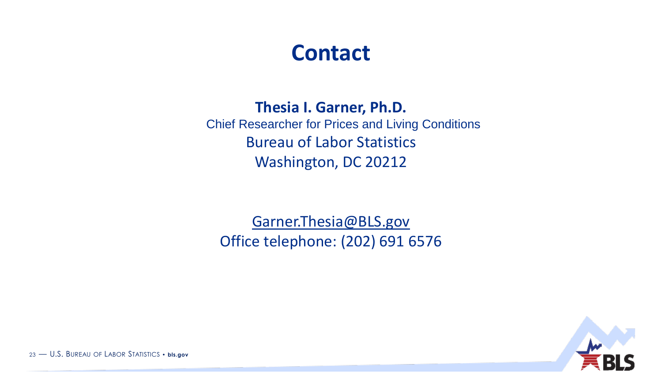### **Contact**

### **Thesia I. Garner, Ph.D.**

Chief Researcher for Prices and Living Conditions Bureau of Labor Statistics Washington, DC 20212

[Garner.Thesia@BLS.gov](mailto:Garner.thesia@BLS.gov) Office telephone: (202) 691 6576



23 — U.S. BUREAU OF LABOR STATISTICS • **bls.gov**